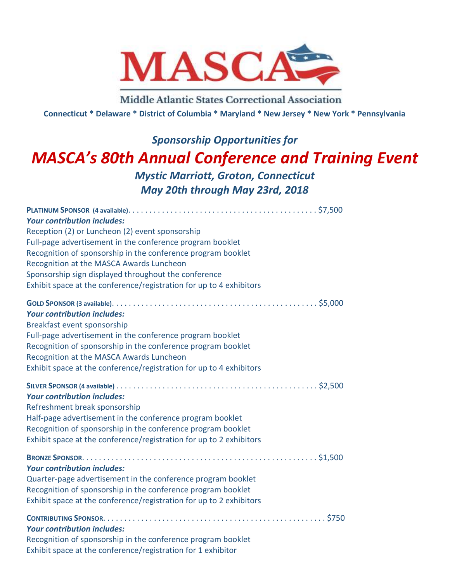

Middle Atlantic States Correctional Association **Connecticut \* Delaware \* District of Columbia \* Maryland \* New Jersey \* New York \* Pennsylvania**

## *Sponsorship Opportunities for MASCA's 80th Annual Conference and Training Event Mystic Marriott, Groton, Connecticut May 20th through May 23rd, 2018*

| <b>Your contribution includes:</b>                                  |
|---------------------------------------------------------------------|
| Reception (2) or Luncheon (2) event sponsorship                     |
| Full-page advertisement in the conference program booklet           |
| Recognition of sponsorship in the conference program booklet        |
| Recognition at the MASCA Awards Luncheon                            |
| Sponsorship sign displayed throughout the conference                |
| Exhibit space at the conference/registration for up to 4 exhibitors |
|                                                                     |
| <b>Your contribution includes:</b>                                  |
| Breakfast event sponsorship                                         |
| Full-page advertisement in the conference program booklet           |
| Recognition of sponsorship in the conference program booklet        |
| Recognition at the MASCA Awards Luncheon                            |
| Exhibit space at the conference/registration for up to 4 exhibitors |
|                                                                     |
| <b>Your contribution includes:</b>                                  |
| Refreshment break sponsorship                                       |
| Half-page advertisement in the conference program booklet           |
| Recognition of sponsorship in the conference program booklet        |
| Exhibit space at the conference/registration for up to 2 exhibitors |
|                                                                     |
| <b>Your contribution includes:</b>                                  |
| Quarter-page advertisement in the conference program booklet        |
| Recognition of sponsorship in the conference program booklet        |
| Exhibit space at the conference/registration for up to 2 exhibitors |
|                                                                     |
| <b>Your contribution includes:</b>                                  |
| Recognition of sponsorship in the conference program booklet        |
| Exhibit space at the conference/registration for 1 exhibitor        |